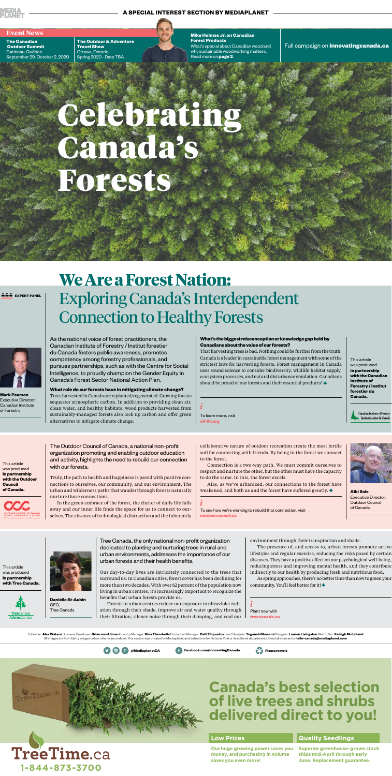

#### **A SPECIAL INTEREST SECTION BY MEDIAPLANET**

As the national voice of forest practitioners, the Canadian Institute of Forestry / Institut forestier du Canada fosters public awareness, promotes competency among forestry professionals, and pursues partnerships, such as with the Centre for Social Intelligence, to proudly champion the Gender Equity in Canada's Forest Sector National Action Plan.

That harvesting trees is bad. Nothing could be further from the truth. Canada is a leader in sustainable forest management with some of the strictest laws for harvesting forests. Forest management in Canada uses sound science to consider biodiversity, wildlife habitat supply, ecosystem processes, and natural disturbance emulation. Canadians should be proud of our forests and their essential products!  $\blacklozenge$ 

**What role do our forests have in mitigating climate change?** Trees harvested in Canada are replanted/regenerated. Growing forests sequester atmospheric carbon. In addition to providing clean air, clean water, and healthy habitats, wood products harvested from sustainably-managed forests also lock up carbon and offer green alternatives to mitigate climate change.

**Mark Pearson** Executive Director, Canadian Institute of Forestry

**Event News Mike Holmes Jr. on Canadian Forest Products** What's special about Canadian wood and why sustainable woodworking matters. Read more on **page 3**.

> This article was produced **in partnership with the Canadian Institute of Forestry / Institut forestier du Canada.**

> > Canadian Institute of Forestry Institut forestier du Canad

#### **What's the biggest misconception or knowledge gap held by Canadians about the value of our forests?**

Publisher: Alex Watson Business Developer: Brian von Allmen Country Manager: Nina Theodorlis Production Manager: Calli Eliopoulos Lead Designer: Yeganeh Ghasemi Designer: Lauren Livingston Web Editor: Kaleigh McLelland All images are from Getty Images unless otherwise credited. This section was created by Mediaplanet and did not involve National Post or its editorial departments. Send all inquiries to **hello-canada@mediaplanet.com**.

ž

To learn more, visit **cif-ifc.org**

# Celebrating Canada's Forests

**EXPERT PANEL** 

**The Canadian Outdoor Summit** Gatineau, Québec September 29-October 2, 2020

> Connection is a two-way path. We must commit ourselves to  $\frac{1}{2}$  pect and nurture the other, but the other must have the capacity



Alas, as we've urbanized, our connections to the forest have weakened, and both us and the forest have suffered greatly. **Albi Sole** 

**The Outdoor & Adventure Travel Show** Ottawa, Ontario Spring 2020 - Date TBA

Full campaign on **innovatingcanada.ca**

To see how we're working to rebuild that connection, visit **The State of Canada outdoorcouncil.ca**





## **Canada's best selection of live trees and shrubs delivered direct to you!**

#### **Low Prices**

**Our huge growing power saves you money, and purchasing in volume** 

**saves you even more!**



#### **Quality Seedlings**

**Superior greenhouse-grown stock ships mid-April through early June. Replacement guarantee.**

The Outdoor Council of Canada, a national non-profit organization promoting and enabling outdoor education and activity, highlights the need to rebuild our connection with our forests.

Truly, the path to health and happiness is paved with positive connections to ourselves, our community, and our environment. The urban and wilderness paths that wander through forests naturally nurture those connections.

In the green embrace of the forest, the clutter of daily life falls away and our inner life finds the space for us to connect to ourselves. The absence of technological distraction and the inherently

collaborative nature of outdoor recreation create the most fertile soil for connecting with friends. By being in the forest we connect to the forest.

to do the same. In this, the forest excels.

Executive Director, Outdoor Council

This article was produced

**in partnership with the Outdoor Council of Canada.**



Tree Canada, the only national non-profit organization dedicated to planting and nurturing trees in rural and urban environments, addresses the importance of our urban forests and their health benefits.

Our day-to-day lives are intricately connected to the trees that surround us. In Canadian cities, forest cover has been declining for more than two decades. With over 82 percent of the population now living in urban centres, it's increasingly important to recognize the benefits that urban forests provide us.

Forests in urban centres reduce our exposure to ultraviolet radi-Tree Canada  $\parallel$  ation through their shade, improve air and water quality through  $\parallel$  Plant now with their filtration, silence noise through their damping, and cool our

environment through their transpiration and shade.

The presence of, and access to, urban forests promote active lifestyles and regular exercise, reducing the risks posed by certain diseases. They have a positive effect on our psychological well-being, reducing stress and improving mental health, and they contribute indirectly to our health by producing fresh and nutritious food.

As spring approaches, there's no better time than now to green your community. You'll feel better for it!



**Danielle St-Aubin** CEO,

**treecanada.ca**

This article was produced **in partnership with Tree Canada.**



## **We Are a Forest Nation:** Exploring Canada's Interdependent Connection to Healthy Forests

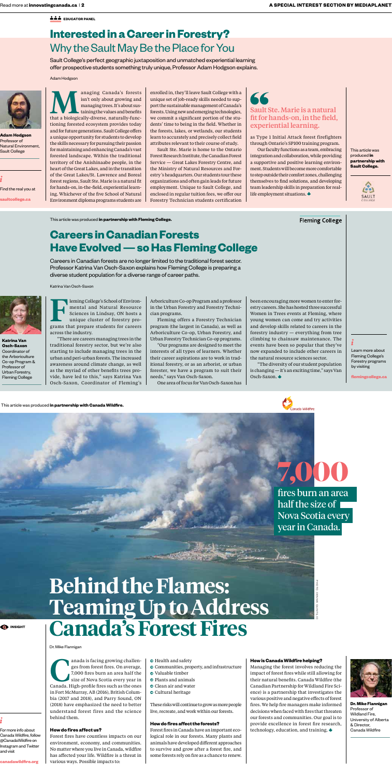**EDUCATOR PANEL** 

# **Behind the Flames: Teaming Up to Address Canada's Forest Fires**

For more info about Canada Wildfire, follow @CanadaWildfire on Instagram and Twitter and visit

**DINSIGHT** 

**canadawildfire.org**

anada is facing growing challenges from forest fires. On average, 7,000 fires burn an area half the size of Nova Scotia every year in Canada. High-profile fires such as the ones in Fort McMurray, AB (2016), British Columbia (2017 and 2018), and Parry Sound, ON (2018) have emphasized the need to better understand forest fires and the science behind them.

#### **How do fires affect us?**

Forest fires have countless impacts on our environment, economy, and communities. No matter where you live in Canada, wildfire has affected your life. Wildfire is a threat in various ways. Possible impacts to:

- $\bullet$  Health and safety
- Communities, property, and infrastructure
- Valuable timber
- Plants and animals
- **Clean air and water**
- **O** Cultural heritage

This article was produced **in partnership with Canada Wildfire.**



# PHOTO: DENNIS QUINTILIO

**Dr. Mike Flannigan** Professor of Wildland Fire, University of Alberta & Director, Canada Wildfire

**Fleming College's School of Environ**mental and Natural Resource Sciences in Lindsay, ON hosts a unique cluster of forestry programs that prepare students for careers across the industry.

> These risks will continue to grow as more people live, recreate, and work within our forests.

#### **How do fires affect the forests?**

Forest fires in Canada have an important ecological role in our forests. Many plants and animals have developed different approaches to survive and grow after a forest fire, and some forests rely on fire as a chance to renew.

#### **How is Canada Wildfire helping?**

Managing the forest involves reducing the impact of forest fires while still allowing for their natural benefits. Canada Wildfire (the Canadian Partnership for Wildland Fire Science) is a partnership that investigates the various positive and negative effects of forest fires. We help fire managers make informed decisions when faced with fires that threaten our forests and communities. Our goal is to provide excellence in forest fire research, technology, education, and training.





fires burn an area half the size of Nova Scotia every year in Canada.

Learn more about Fleming College's Forestry programs by visiting

**flemingcollege.ca**

"There are careers managing trees in the traditional forestry sector, but we're also starting to include managing trees in the urban and peri-urban forests. The increased awareness around climate change, as well as the myriad of other benefits trees provide, have led to this," says Katrina Van Osch-Saxon, Coordinator of Fleming's

anaging Canada's forests<br>
isn't only about growing and<br>
managing trees. It's about sus-<br>
taining the values and benefits<br>
that a biologically-diverse, naturally-funcisn't only about growing and managing trees. It's about sustaining the values and benefits tioning forested ecosystem provides today and for future generations. Sault College offers a unique opportunity for students to develop the skills necessary for pursuing their passion for maintaining and enhancing Canada's vast forested landscape. Within the traditional territory of the Anishinaabe people, in the heart of the Great Lakes, and in the transition enrolled in, they'll leave Sault College with a unique set of job-ready skills needed to support the sustainable management of Canada's forests. Using new and emerging technologies, we commit a significant portion of the students' time to being in the field. Whether in the forests, lakes, or wetlands, our students learn to accurately and precisely collect field attributes relevant to their course of study. Sault Ste. Marie is home to the Ontario Forest Research Institute, the Canadian Forest

> Arboriculture Co-op Program and a professor in the Urban Forestry and Forestry Technician programs.

> Fleming offers a Forestry Technician program (the largest in Canada), as well as Arboriculture Co-op, Urban Forestry, and Urban Forestry Technician Co-op programs.

> "Our programs are designed to meet the interests of all types of learners. Whether their career aspirations are to work in traditional forestry, or as an arborist, or urban forester, we have a program to suit their needs," says Van Osch-Saxon.

One area of focus for Van Osch-Saxon has

### 66 Sault Ste. Marie is a natural fit for hands-on, in the field, experiential learning.

been encouraging more women to enter forestry careers. She has hosted three successful Women in Trees events at Fleming, where young women can come and try activities and develop skills related to careers in the forestry industry — everything from tree climbing to chainsaw maintenance. The events have been so popular that they've now expanded to include other careers in the natural resource sciences sector.

"The diversity of our student population is changing — it's an exciting time," says Van Osch-Saxon.

This article was produced **in partnership with Fleming College.**

## **Careers in Canadian Forests Have Evolved — so Has Fleming College**

Katrina Van Osch-Saxon



**Katrina Van Osch-Saxon** Coordinator of the Arboriculture Co-op Program & Professor of Urban Forestry, Fleming College

Careers in Canadian forests are no longer limited to the traditional forest sector. Professor Katrina Van Osch-Saxon explains how Fleming College is preparing a diverse student population for a diverse range of career paths.

Dr. Mike Flannigan

of the Great Lakes/St. Lawrence and Boreal forest regions, Sault Ste. Marie is a natural fit for hands-on, in-the-field, experiential learning. Whichever of the five School of Natural Environment diploma programs students are Service — Great Lakes Forestry Centre, and the Ministry of Natural Resources and Forestry 's headquarters. Our students tour these organizations and often gain leads for future employment. Unique to Sault College, and enclosed in regular tuition fees, we offer our Forestry Technician students certification as Type 1 Initial Attack forest firefighters through Ontario's SP100 training program.

Our faculty functions as a team, embracing integration and collaboration, while providing a supportive and positive learning environment. Students will become more comfortable to step outside their comfort zones, challenging themselves to find solutions, and developing team leadership skills in preparation for reallife employment situations.

**Fleming College** 

Find the real you at

**saultcollege.ca**

This article was produced **in partnership with Sault College.**



## **Interested in a Career in Forestry?**  Why the Sault May Be the Place for You

Adam Hodgson



**Adam Hodgson** Professor of Natural Environment, Sault College

Sault College's perfect geographic juxtaposition and unmatched experiential learning offer prospective students something truly unique, Professor Adam Hodgson explains.